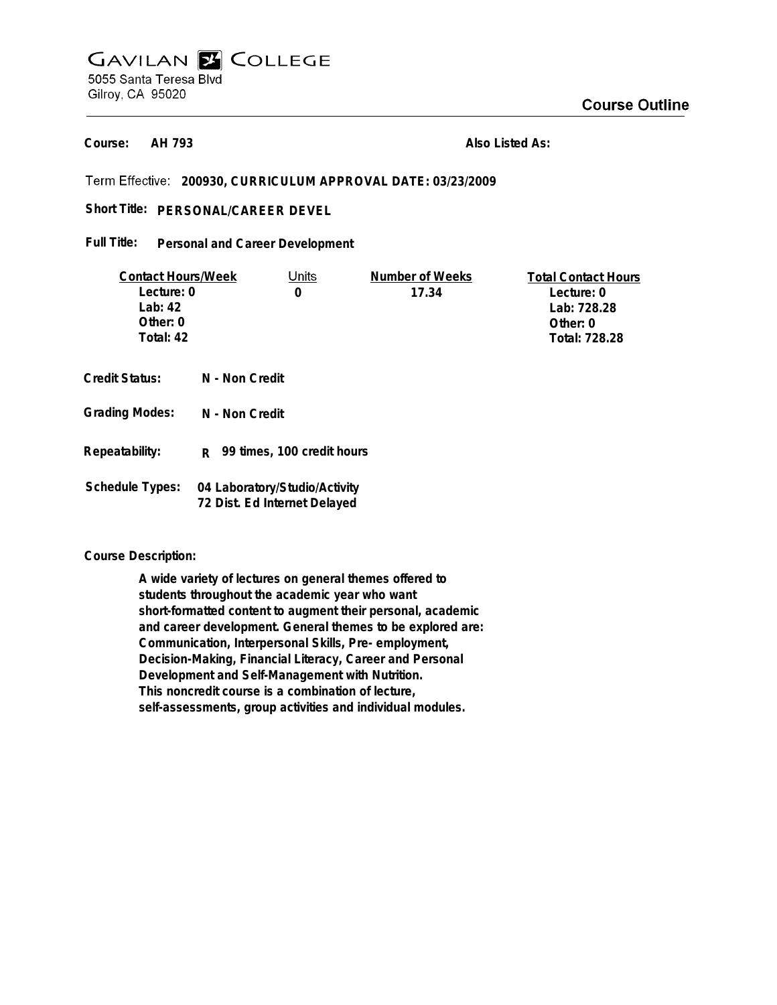# **GAVILAN E COLLEGE** 5055 Santa Teresa Blvd Gilroy, CA 95020

**AH 793 Course:**

**Also Listed As:**

**200930, CURRICULUM APPROVAL DATE: 03/23/2009**

## Short Title: PERSONAL/CAREER DEVEL

#### **Personal and Career Development Full Title:**

| <b>Contact Hours/Week</b> |                                                               | Units                      | Number of Weeks | <b>Total Contact Hours</b> |
|---------------------------|---------------------------------------------------------------|----------------------------|-----------------|----------------------------|
| Lecture: 0                |                                                               | 0                          | 17.34           | Lecture: 0                 |
| Lab: $42$                 |                                                               |                            |                 | Lab: 728.28                |
| Other: 0                  |                                                               |                            |                 | Other: 0                   |
| Total: 42                 |                                                               |                            |                 | Total: 728.28              |
|                           |                                                               |                            |                 |                            |
| Credit Status:            | N - Non Credit                                                |                            |                 |                            |
| <b>Grading Modes:</b>     | N - Non Credit                                                |                            |                 |                            |
| Repeatability:            | R.                                                            | 99 times, 100 credit hours |                 |                            |
| <b>Schedule Types:</b>    | 04 Laboratory/Studio/Activity<br>72 Dist. Ed Internet Delayed |                            |                 |                            |

#### **Course Description:**

**A wide variety of lectures on general themes offered to students throughout the academic year who want short-formatted content to augment their personal, academic and career development. General themes to be explored are: Communication, Interpersonal Skills, Pre- employment, Decision-Making, Financial Literacy, Career and Personal Development and Self-Management with Nutrition. This noncredit course is a combination of lecture, self-assessments, group activities and individual modules.**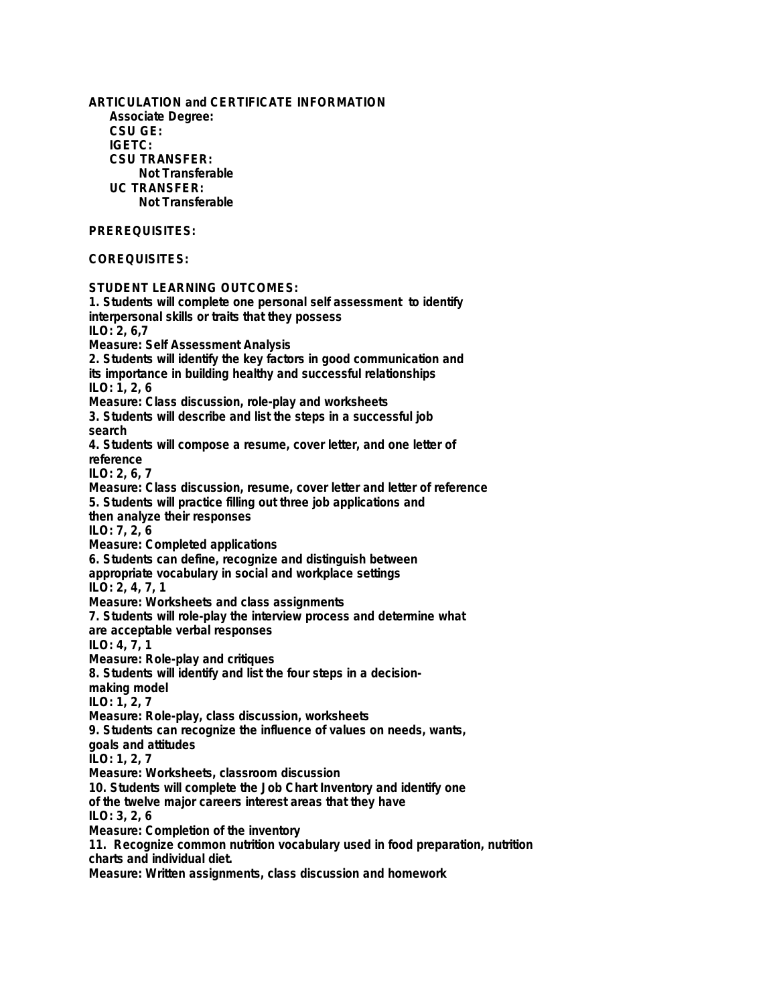**ARTICULATION and CERTIFICATE INFORMATION Associate Degree: CSU GE: IGETC: CSU TRANSFER: Not Transferable UC TRANSFER: Not Transferable PREREQUISITES: COREQUISITES: STUDENT LEARNING OUTCOMES: 1. Students will complete one personal self assessment to identify interpersonal skills or traits that they possess ILO: 2, 6,7 Measure: Self Assessment Analysis 2. Students will identify the key factors in good communication and its importance in building healthy and successful relationships ILO: 1, 2, 6 Measure: Class discussion, role-play and worksheets 3. Students will describe and list the steps in a successful job search 4. Students will compose a resume, cover letter, and one letter of reference ILO: 2, 6, 7 Measure: Class discussion, resume, cover letter and letter of reference 5. Students will practice filling out three job applications and then analyze their responses ILO: 7, 2, 6 Measure: Completed applications 6. Students can define, recognize and distinguish between appropriate vocabulary in social and workplace settings ILO: 2, 4, 7, 1 Measure: Worksheets and class assignments 7. Students will role-play the interview process and determine what are acceptable verbal responses ILO: 4, 7, 1 Measure: Role-play and critiques 8. Students will identify and list the four steps in a decisionmaking model ILO: 1, 2, 7 Measure: Role-play, class discussion, worksheets 9. Students can recognize the influence of values on needs, wants, goals and attitudes ILO: 1, 2, 7 Measure: Worksheets, classroom discussion 10. Students will complete the Job Chart Inventory and identify one of the twelve major careers interest areas that they have ILO: 3, 2, 6 Measure: Completion of the inventory 11. Recognize common nutrition vocabulary used in food preparation, nutrition charts and individual diet. Measure: Written assignments, class discussion and homework**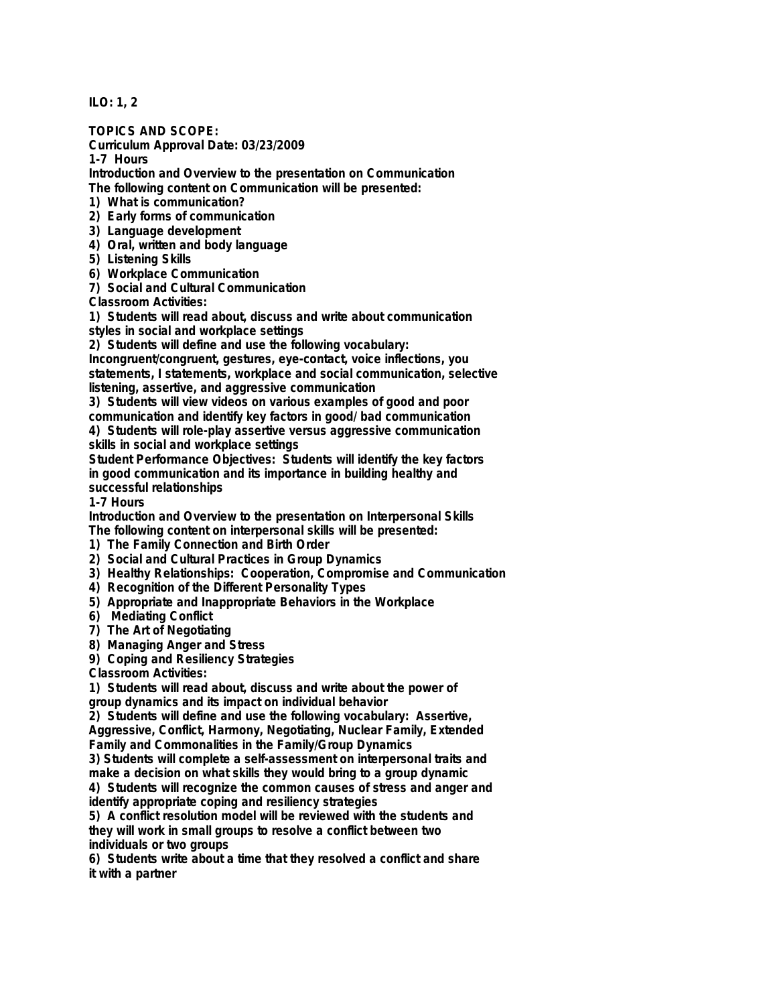**ILO: 1, 2**

**TOPICS AND SCOPE:**

**Curriculum Approval Date: 03/23/2009**

**1-7 Hours**

**Introduction and Overview to the presentation on Communication The following content on Communication will be presented:**

**1) What is communication?**

**2) Early forms of communication**

**3) Language development**

**4) Oral, written and body language**

**5) Listening Skills**

**6) Workplace Communication**

**7) Social and Cultural Communication**

**Classroom Activities:**

**1) Students will read about, discuss and write about communication styles in social and workplace settings**

**2) Students will define and use the following vocabulary:**

**Incongruent/congruent, gestures, eye-contact, voice inflections, you statements, I statements, workplace and social communication, selective listening, assertive, and aggressive communication**

**3) Students will view videos on various examples of good and poor**

**communication and identify key factors in good/ bad communication**

**4) Students will role-play assertive versus aggressive communication skills in social and workplace settings**

**Student Performance Objectives: Students will identify the key factors in good communication and its importance in building healthy and successful relationships**

**1-7 Hours**

**Introduction and Overview to the presentation on Interpersonal Skills The following content on interpersonal skills will be presented:**

**1) The Family Connection and Birth Order**

- **2) Social and Cultural Practices in Group Dynamics**
- **3) Healthy Relationships: Cooperation, Compromise and Communication**
- **4) Recognition of the Different Personality Types**
- **5) Appropriate and Inappropriate Behaviors in the Workplace**
- **6) Mediating Conflict**
- **7) The Art of Negotiating**

**8) Managing Anger and Stress**

**9) Coping and Resiliency Strategies**

**Classroom Activities:**

**1) Students will read about, discuss and write about the power of group dynamics and its impact on individual behavior**

**2) Students will define and use the following vocabulary: Assertive,**

**Aggressive, Conflict, Harmony, Negotiating, Nuclear Family, Extended Family and Commonalities in the Family/Group Dynamics**

**3) Students will complete a self-assessment on interpersonal traits and make a decision on what skills they would bring to a group dynamic**

**4) Students will recognize the common causes of stress and anger and identify appropriate coping and resiliency strategies**

**5) A conflict resolution model will be reviewed with the students and they will work in small groups to resolve a conflict between two individuals or two groups**

**6) Students write about a time that they resolved a conflict and share it with a partner**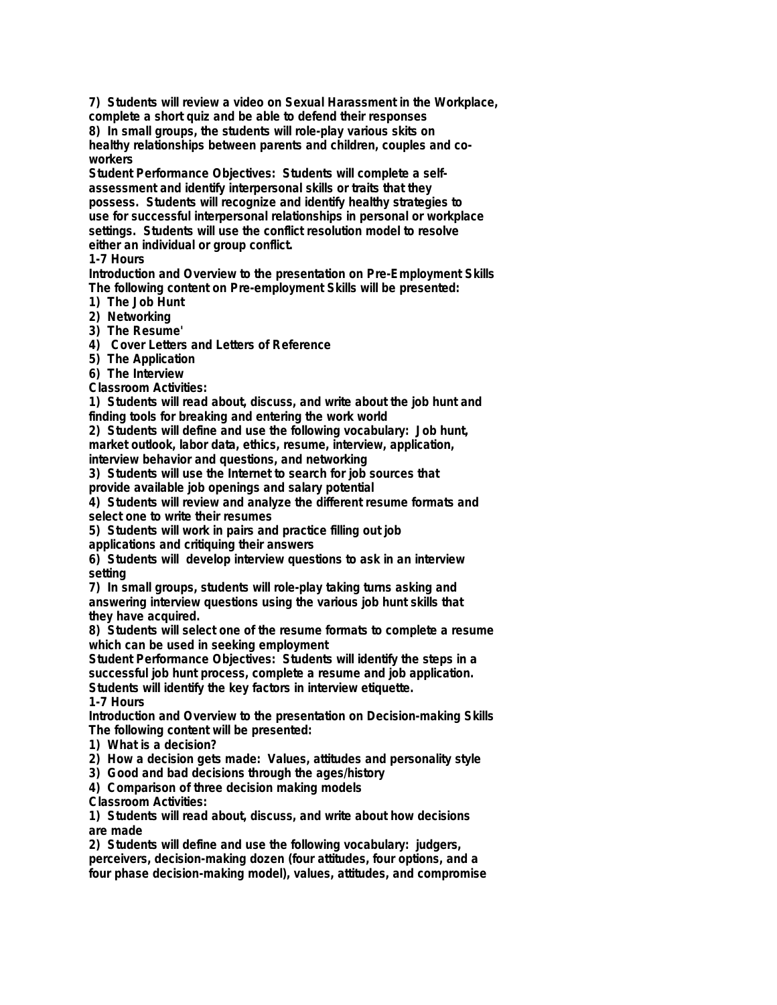**7) Students will review a video on Sexual Harassment in the Workplace, complete a short quiz and be able to defend their responses**

**8) In small groups, the students will role-play various skits on healthy relationships between parents and children, couples and coworkers**

**Student Performance Objectives: Students will complete a selfassessment and identify interpersonal skills or traits that they possess. Students will recognize and identify healthy strategies to use for successful interpersonal relationships in personal or workplace settings. Students will use the conflict resolution model to resolve either an individual or group conflict.**

**1-7 Hours**

**Introduction and Overview to the presentation on Pre-Employment Skills The following content on Pre-employment Skills will be presented:**

**1) The Job Hunt**

**2) Networking**

**3) The Resume'**

**4) Cover Letters and Letters of Reference**

**5) The Application**

**6) The Interview**

**Classroom Activities:**

**1) Students will read about, discuss, and write about the job hunt and finding tools for breaking and entering the work world**

**2) Students will define and use the following vocabulary: Job hunt, market outlook, labor data, ethics, resume, interview, application, interview behavior and questions, and networking**

**3) Students will use the Internet to search for job sources that provide available job openings and salary potential**

**4) Students will review and analyze the different resume formats and select one to write their resumes**

**5) Students will work in pairs and practice filling out job**

**applications and critiquing their answers**

**6) Students will develop interview questions to ask in an interview setting**

**7) In small groups, students will role-play taking turns asking and answering interview questions using the various job hunt skills that they have acquired.**

**8) Students will select one of the resume formats to complete a resume which can be used in seeking employment**

**Student Performance Objectives: Students will identify the steps in a successful job hunt process, complete a resume and job application. Students will identify the key factors in interview etiquette.**

**1-7 Hours**

**Introduction and Overview to the presentation on Decision-making Skills The following content will be presented:**

**1) What is a decision?**

**2) How a decision gets made: Values, attitudes and personality style**

**3) Good and bad decisions through the ages/history**

**4) Comparison of three decision making models**

**Classroom Activities:**

**1) Students will read about, discuss, and write about how decisions are made**

**2) Students will define and use the following vocabulary: judgers, perceivers, decision-making dozen (four attitudes, four options, and a four phase decision-making model), values, attitudes, and compromise**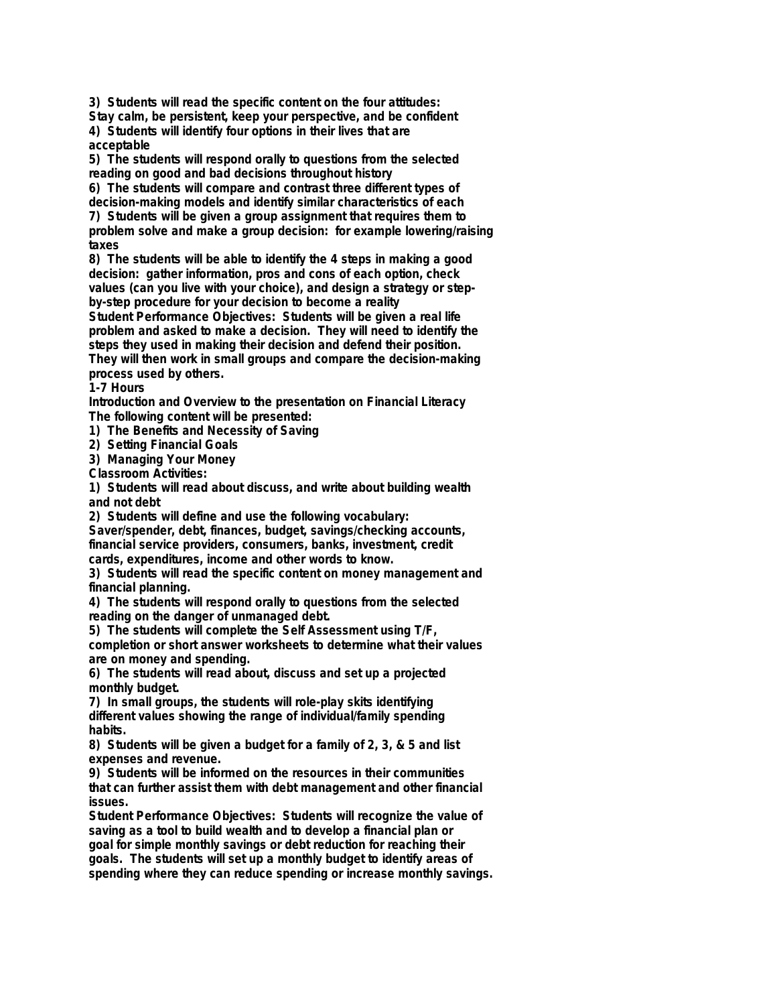**3) Students will read the specific content on the four attitudes: Stay calm, be persistent, keep your perspective, and be confident**

**4) Students will identify four options in their lives that are acceptable**

**5) The students will respond orally to questions from the selected reading on good and bad decisions throughout history**

**6) The students will compare and contrast three different types of decision-making models and identify similar characteristics of each**

**7) Students will be given a group assignment that requires them to problem solve and make a group decision: for example lowering/raising taxes**

**8) The students will be able to identify the 4 steps in making a good decision: gather information, pros and cons of each option, check values (can you live with your choice), and design a strategy or stepby-step procedure for your decision to become a reality**

**Student Performance Objectives: Students will be given a real life problem and asked to make a decision. They will need to identify the steps they used in making their decision and defend their position. They will then work in small groups and compare the decision-making process used by others.**

**1-7 Hours**

**Introduction and Overview to the presentation on Financial Literacy The following content will be presented:**

**1) The Benefits and Necessity of Saving**

**2) Setting Financial Goals**

**3) Managing Your Money**

**Classroom Activities:**

**1) Students will read about discuss, and write about building wealth and not debt**

**2) Students will define and use the following vocabulary:**

**Saver/spender, debt, finances, budget, savings/checking accounts, financial service providers, consumers, banks, investment, credit cards, expenditures, income and other words to know.**

**3) Students will read the specific content on money management and financial planning.**

**4) The students will respond orally to questions from the selected reading on the danger of unmanaged debt.**

**5) The students will complete the Self Assessment using T/F,**

**completion or short answer worksheets to determine what their values are on money and spending.**

**6) The students will read about, discuss and set up a projected monthly budget.**

**7) In small groups, the students will role-play skits identifying different values showing the range of individual/family spending habits.**

**8) Students will be given a budget for a family of 2, 3, & 5 and list expenses and revenue.**

**9) Students will be informed on the resources in their communities that can further assist them with debt management and other financial issues.**

**Student Performance Objectives: Students will recognize the value of saving as a tool to build wealth and to develop a financial plan or goal for simple monthly savings or debt reduction for reaching their goals. The students will set up a monthly budget to identify areas of spending where they can reduce spending or increase monthly savings.**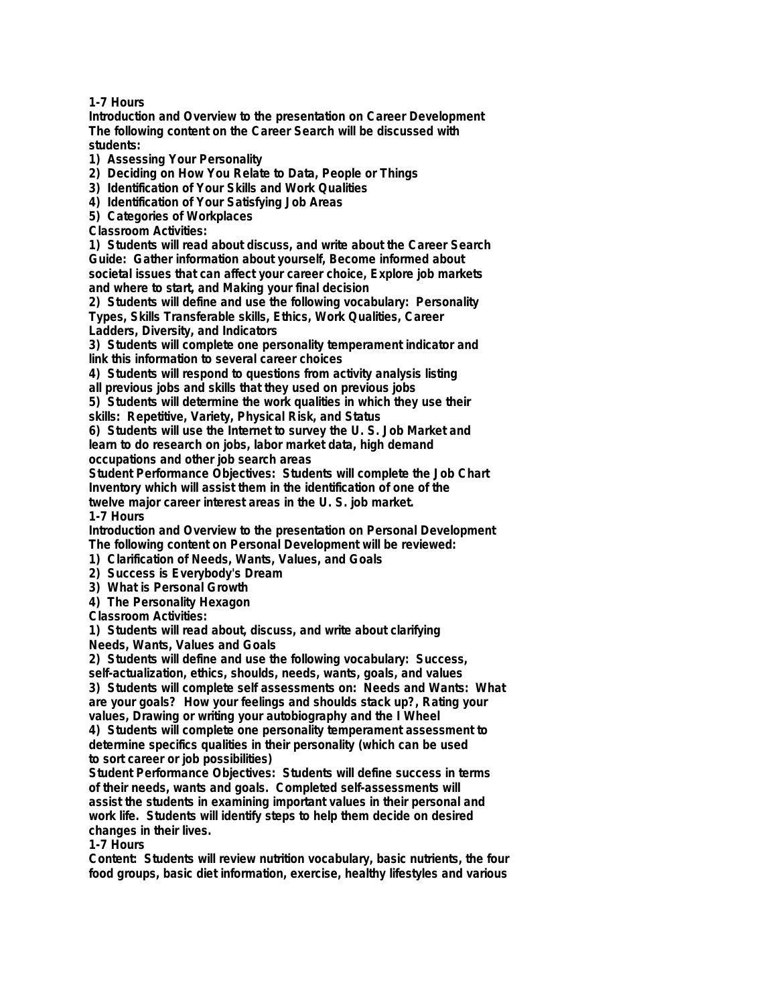**1-7 Hours**

**Introduction and Overview to the presentation on Career Development The following content on the Career Search will be discussed with students:**

**1) Assessing Your Personality**

**2) Deciding on How You Relate to Data, People or Things**

**3) Identification of Your Skills and Work Qualities**

**4) Identification of Your Satisfying Job Areas**

**5) Categories of Workplaces**

**Classroom Activities:**

**1) Students will read about discuss, and write about the Career Search Guide: Gather information about yourself, Become informed about societal issues that can affect your career choice, Explore job markets and where to start, and Making your final decision**

**2) Students will define and use the following vocabulary: Personality Types, Skills Transferable skills, Ethics, Work Qualities, Career Ladders, Diversity, and Indicators**

**3) Students will complete one personality temperament indicator and link this information to several career choices**

**4) Students will respond to questions from activity analysis listing**

**all previous jobs and skills that they used on previous jobs**

**5) Students will determine the work qualities in which they use their skills: Repetitive, Variety, Physical Risk, and Status**

**6) Students will use the Internet to survey the U. S. Job Market and learn to do research on jobs, labor market data, high demand occupations and other job search areas**

**Student Performance Objectives: Students will complete the Job Chart Inventory which will assist them in the identification of one of the twelve major career interest areas in the U. S. job market.**

**1-7 Hours**

**Introduction and Overview to the presentation on Personal Development The following content on Personal Development will be reviewed:**

**1) Clarification of Needs, Wants, Values, and Goals**

**2) Success is Everybody's Dream**

**3) What is Personal Growth**

**4) The Personality Hexagon**

**Classroom Activities:**

**1) Students will read about, discuss, and write about clarifying**

**Needs, Wants, Values and Goals**

**2) Students will define and use the following vocabulary: Success,**

**self-actualization, ethics, shoulds, needs, wants, goals, and values 3) Students will complete self assessments on: Needs and Wants: What**

**are your goals? How your feelings and shoulds stack up?, Rating your values, Drawing or writing your autobiography and the I Wheel**

**4) Students will complete one personality temperament assessment to determine specifics qualities in their personality (which can be used to sort career or job possibilities)**

**Student Performance Objectives: Students will define success in terms of their needs, wants and goals. Completed self-assessments will assist the students in examining important values in their personal and work life. Students will identify steps to help them decide on desired changes in their lives.**

**1-7 Hours**

**Content: Students will review nutrition vocabulary, basic nutrients, the four food groups, basic diet information, exercise, healthy lifestyles and various**